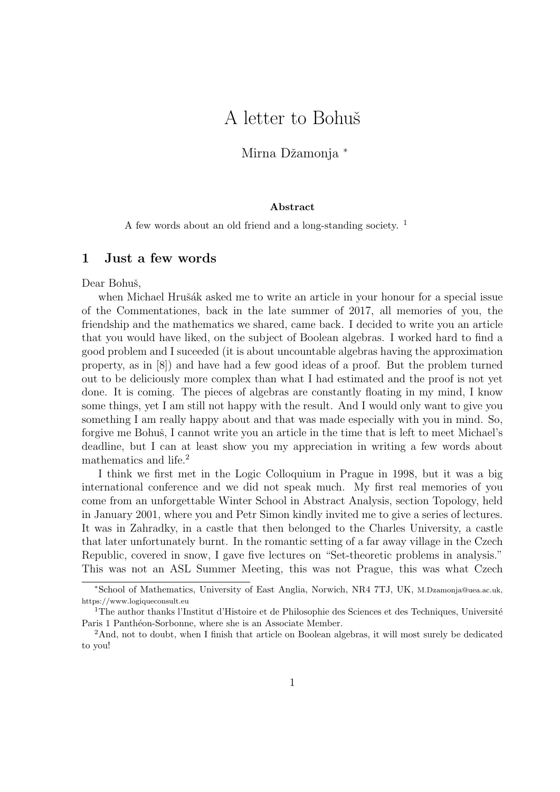## A letter to Bohuš

Mirna Džamonja \*

## Abstract

A few words about an old friend and a long-standing society.<sup>1</sup>

## 1 Just a few words

Dear Bohuš,

when Michael Hrušák asked me to write an article in your honour for a special issue of the Commentationes, back in the late summer of 2017, all memories of you, the friendship and the mathematics we shared, came back. I decided to write you an article that you would have liked, on the subject of Boolean algebras. I worked hard to find a good problem and I suceeded (it is about uncountable algebras having the approximation property, as in [8]) and have had a few good ideas of a proof. But the problem turned out to be deliciously more complex than what I had estimated and the proof is not yet done. It is coming. The pieces of algebras are constantly floating in my mind, I know some things, yet I am still not happy with the result. And I would only want to give you something I am really happy about and that was made especially with you in mind. So, forgive me Bohuš, I cannot write you an article in the time that is left to meet Michael's deadline, but I can at least show you my appreciation in writing a few words about mathematics and life.<sup>2</sup>

I think we first met in the Logic Colloquium in Prague in 1998, but it was a big international conference and we did not speak much. My first real memories of you come from an unforgettable Winter School in Abstract Analysis, section Topology, held in January 2001, where you and Petr Simon kindly invited me to give a series of lectures. It was in Zahradky, in a castle that then belonged to the Charles University, a castle that later unfortunately burnt. In the romantic setting of a far away village in the Czech Republic, covered in snow, I gave five lectures on "Set-theoretic problems in analysis." This was not an ASL Summer Meeting, this was not Prague, this was what Czech

<sup>∗</sup>School of Mathematics, University of East Anglia, Norwich, NR4 7TJ, UK, M.Dzamonja@uea.ac.uk, https://www.logiqueconsult.eu

<sup>&</sup>lt;sup>1</sup>The author thanks l'Institut d'Histoire et de Philosophie des Sciences et des Techniques, Université Paris 1 Panthéon-Sorbonne, where she is an Associate Member.

<sup>&</sup>lt;sup>2</sup>And, not to doubt, when I finish that article on Boolean algebras, it will most surely be dedicated to you!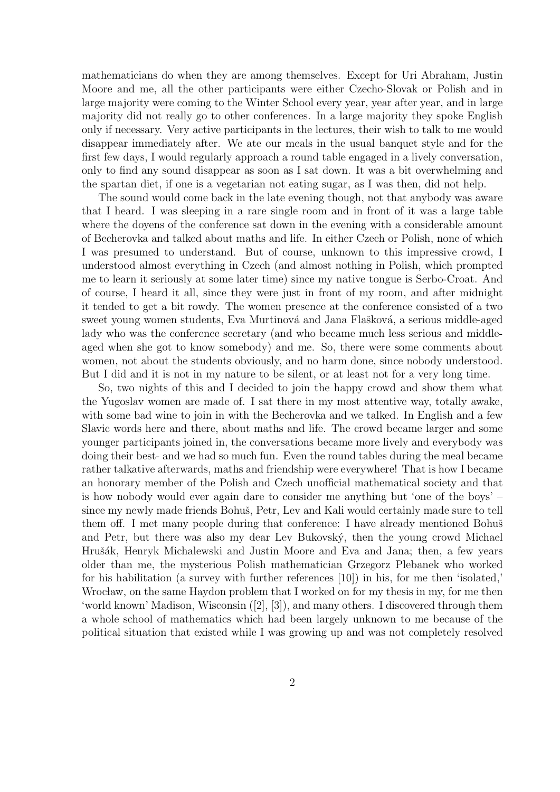mathematicians do when they are among themselves. Except for Uri Abraham, Justin Moore and me, all the other participants were either Czecho-Slovak or Polish and in large majority were coming to the Winter School every year, year after year, and in large majority did not really go to other conferences. In a large majority they spoke English only if necessary. Very active participants in the lectures, their wish to talk to me would disappear immediately after. We ate our meals in the usual banquet style and for the first few days, I would regularly approach a round table engaged in a lively conversation, only to find any sound disappear as soon as I sat down. It was a bit overwhelming and the spartan diet, if one is a vegetarian not eating sugar, as I was then, did not help.

The sound would come back in the late evening though, not that anybody was aware that I heard. I was sleeping in a rare single room and in front of it was a large table where the doyens of the conference sat down in the evening with a considerable amount of Becherovka and talked about maths and life. In either Czech or Polish, none of which I was presumed to understand. But of course, unknown to this impressive crowd, I understood almost everything in Czech (and almost nothing in Polish, which prompted me to learn it seriously at some later time) since my native tongue is Serbo-Croat. And of course, I heard it all, since they were just in front of my room, and after midnight it tended to get a bit rowdy. The women presence at the conference consisted of a two sweet young women students, Eva Murtinová and Jana Flašková, a serious middle-aged lady who was the conference secretary (and who became much less serious and middleaged when she got to know somebody) and me. So, there were some comments about women, not about the students obviously, and no harm done, since nobody understood. But I did and it is not in my nature to be silent, or at least not for a very long time.

So, two nights of this and I decided to join the happy crowd and show them what the Yugoslav women are made of. I sat there in my most attentive way, totally awake, with some bad wine to join in with the Becherovka and we talked. In English and a few Slavic words here and there, about maths and life. The crowd became larger and some younger participants joined in, the conversations became more lively and everybody was doing their best- and we had so much fun. Even the round tables during the meal became rather talkative afterwards, maths and friendship were everywhere! That is how I became an honorary member of the Polish and Czech unofficial mathematical society and that is how nobody would ever again dare to consider me anything but 'one of the boys' – since my newly made friends Bohuš, Petr, Lev and Kali would certainly made sure to tell them off. I met many people during that conference: I have already mentioned Bohuš and Petr, but there was also my dear Lev Bukovský, then the young crowd Michael Hrušák, Henryk Michalewski and Justin Moore and Eva and Jana; then, a few years older than me, the mysterious Polish mathematician Grzegorz Plebanek who worked for his habilitation (a survey with further references [10]) in his, for me then 'isolated,' Wrocław, on the same Haydon problem that I worked on for my thesis in my, for me then 'world known' Madison, Wisconsin ([2], [3]), and many others. I discovered through them a whole school of mathematics which had been largely unknown to me because of the political situation that existed while I was growing up and was not completely resolved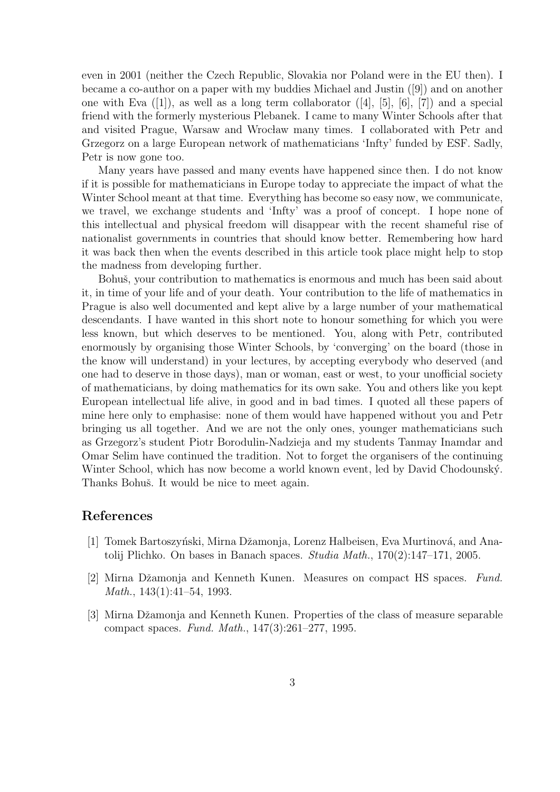even in 2001 (neither the Czech Republic, Slovakia nor Poland were in the EU then). I became a co-author on a paper with my buddies Michael and Justin ([9]) and on another one with Eva  $([1])$ , as well as a long term collaborator  $([4], [5], [6], [7])$  and a special friend with the formerly mysterious Plebanek. I came to many Winter Schools after that and visited Prague, Warsaw and Wrocław many times. I collaborated with Petr and Grzegorz on a large European network of mathematicians 'Infty' funded by ESF. Sadly, Petr is now gone too.

Many years have passed and many events have happened since then. I do not know if it is possible for mathematicians in Europe today to appreciate the impact of what the Winter School meant at that time. Everything has become so easy now, we communicate, we travel, we exchange students and 'Infty' was a proof of concept. I hope none of this intellectual and physical freedom will disappear with the recent shameful rise of nationalist governments in countries that should know better. Remembering how hard it was back then when the events described in this article took place might help to stop the madness from developing further.

Bohuš, your contribution to mathematics is enormous and much has been said about it, in time of your life and of your death. Your contribution to the life of mathematics in Prague is also well documented and kept alive by a large number of your mathematical descendants. I have wanted in this short note to honour something for which you were less known, but which deserves to be mentioned. You, along with Petr, contributed enormously by organising those Winter Schools, by 'converging' on the board (those in the know will understand) in your lectures, by accepting everybody who deserved (and one had to deserve in those days), man or woman, east or west, to your unofficial society of mathematicians, by doing mathematics for its own sake. You and others like you kept European intellectual life alive, in good and in bad times. I quoted all these papers of mine here only to emphasise: none of them would have happened without you and Petr bringing us all together. And we are not the only ones, younger mathematicians such as Grzegorz's student Piotr Borodulin-Nadzieja and my students Tanmay Inamdar and Omar Selim have continued the tradition. Not to forget the organisers of the continuing Winter School, which has now become a world known event, led by David Chodounský. Thanks Bohuš. It would be nice to meet again.

## References

- [1] Tomek Bartoszyński, Mirna Džamonja, Lorenz Halbeisen, Eva Murtinová, and Anatolij Plichko. On bases in Banach spaces. Studia Math.,  $170(2):147-171$ , 2005.
- [2] Mirna Džamonja and Kenneth Kunen. Measures on compact HS spaces. Fund. Math., 143(1):41–54, 1993.
- [3] Mirna Džamonja and Kenneth Kunen. Properties of the class of measure separable compact spaces. Fund. Math., 147(3):261–277, 1995.